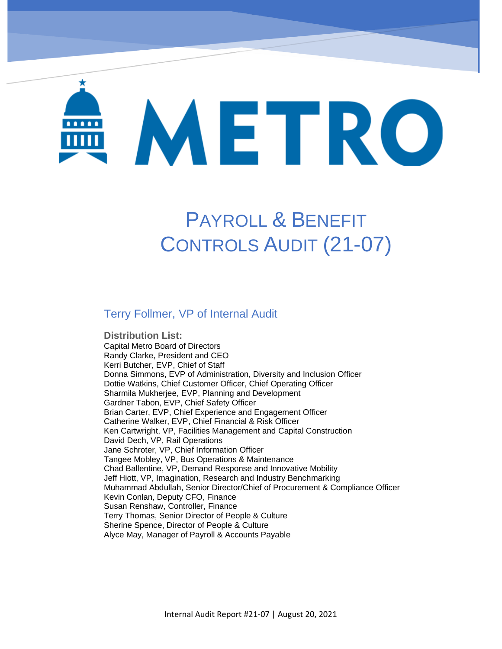# METRO

# PAYROLL & BENEFIT CONTROLS AUDIT (21-07)

#### Terry Follmer, VP of Internal Audit

DMU Maintenance Program – Oversight of Herzog (19-01)

**Distribution List:**  Capital Metro Board of Directors Randy Clarke, President and CEO Kerri Butcher, EVP, Chief of Staff Donna Simmons, EVP of Administration, Diversity and Inclusion Officer Dottie Watkins, Chief Customer Officer, Chief Operating Officer Sharmila Mukherjee, EVP, Planning and Development Gardner Tabon, EVP, Chief Safety Officer Brian Carter, EVP, Chief Experience and Engagement Officer Catherine Walker, EVP, Chief Financial & Risk Officer Ken Cartwright, VP, Facilities Management and Capital Construction David Dech, VP, Rail Operations Jane Schroter, VP, Chief Information Officer Tangee Mobley, VP, Bus Operations & Maintenance Chad Ballentine, VP, Demand Response and Innovative Mobility Jeff Hiott, VP, Imagination, Research and Industry Benchmarking Muhammad Abdullah, Senior Director/Chief of Procurement & Compliance Officer Kevin Conlan, Deputy CFO, Finance Susan Renshaw, Controller, Finance Terry Thomas, Senior Director of People & Culture Sherine Spence, Director of People & Culture Alyce May, Manager of Payroll & Accounts Payable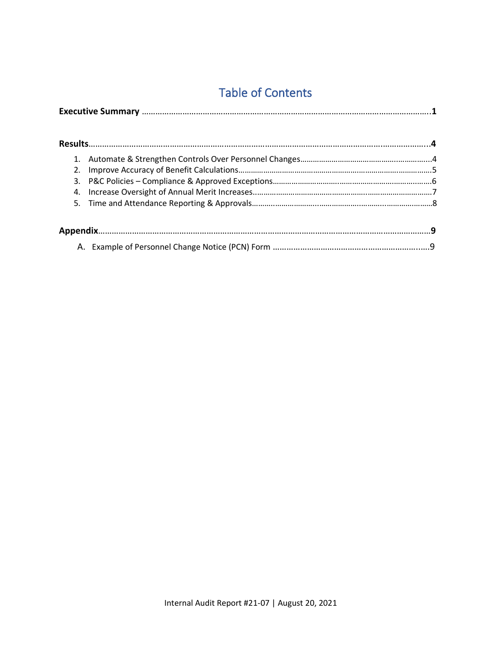## Table of Contents

| 2. |  |
|----|--|
| 3. |  |
| 4. |  |
|    |  |
|    |  |
|    |  |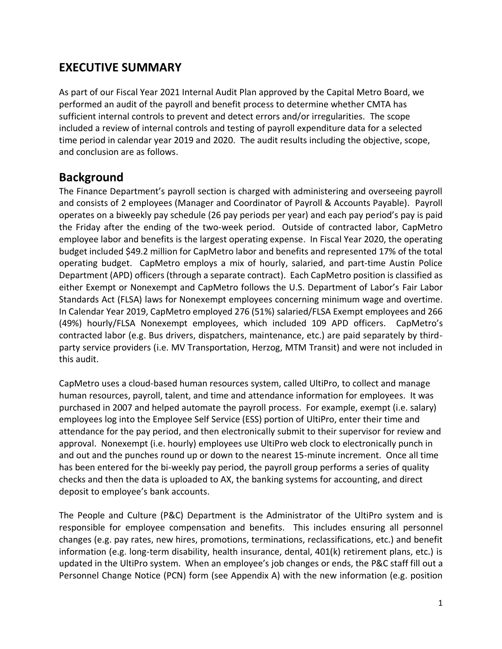#### **EXECUTIVE SUMMARY**

As part of our Fiscal Year 2021 Internal Audit Plan approved by the Capital Metro Board, we performed an audit of the payroll and benefit process to determine whether CMTA has sufficient internal controls to prevent and detect errors and/or irregularities. The scope included a review of internal controls and testing of payroll expenditure data for a selected time period in calendar year 2019 and 2020. The audit results including the objective, scope, and conclusion are as follows.

#### **Background**

The Finance Department's payroll section is charged with administering and overseeing payroll and consists of 2 employees (Manager and Coordinator of Payroll & Accounts Payable). Payroll operates on a biweekly pay schedule (26 pay periods per year) and each pay period's pay is paid the Friday after the ending of the two-week period. Outside of contracted labor, CapMetro employee labor and benefits is the largest operating expense. In Fiscal Year 2020, the operating budget included \$49.2 million for CapMetro labor and benefits and represented 17% of the total operating budget. CapMetro employs a mix of hourly, salaried, and part-time Austin Police Department (APD) officers (through a separate contract). Each CapMetro position is classified as either Exempt or Nonexempt and CapMetro follows the U.S. Department of Labor's Fair Labor Standards Act (FLSA) laws for Nonexempt employees concerning minimum wage and overtime. In Calendar Year 2019, CapMetro employed 276 (51%) salaried/FLSA Exempt employees and 266 (49%) hourly/FLSA Nonexempt employees, which included 109 APD officers. CapMetro's contracted labor (e.g. Bus drivers, dispatchers, maintenance, etc.) are paid separately by thirdparty service providers (i.e. MV Transportation, Herzog, MTM Transit) and were not included in this audit.

CapMetro uses a cloud-based human resources system, called UltiPro, to collect and manage human resources, payroll, talent, and time and attendance information for employees. It was purchased in 2007 and helped automate the payroll process. For example, exempt (i.e. salary) employees log into the Employee Self Service (ESS) portion of UltiPro, enter their time and attendance for the pay period, and then electronically submit to their supervisor for review and approval. Nonexempt (i.e. hourly) employees use UltiPro web clock to electronically punch in and out and the punches round up or down to the nearest 15-minute increment. Once all time has been entered for the bi-weekly pay period, the payroll group performs a series of quality checks and then the data is uploaded to AX, the banking systems for accounting, and direct deposit to employee's bank accounts.

The People and Culture (P&C) Department is the Administrator of the UltiPro system and is responsible for employee compensation and benefits. This includes ensuring all personnel changes (e.g. pay rates, new hires, promotions, terminations, reclassifications, etc.) and benefit information (e.g. long-term disability, health insurance, dental, 401(k) retirement plans, etc.) is updated in the UltiPro system. When an employee's job changes or ends, the P&C staff fill out a Personnel Change Notice (PCN) form (see Appendix A) with the new information (e.g. position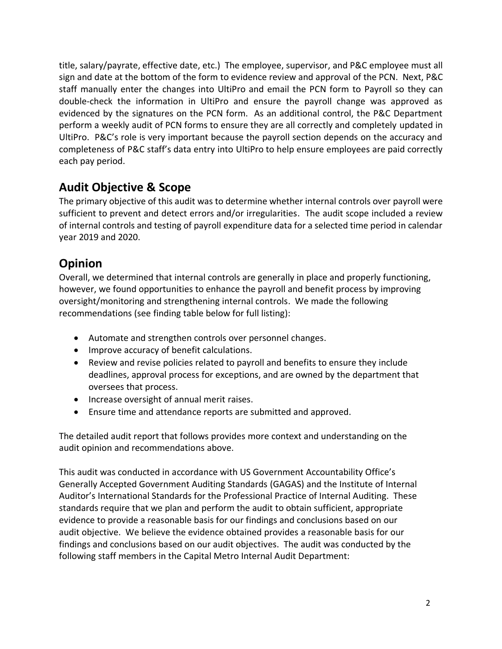title, salary/payrate, effective date, etc.) The employee, supervisor, and P&C employee must all sign and date at the bottom of the form to evidence review and approval of the PCN. Next, P&C staff manually enter the changes into UltiPro and email the PCN form to Payroll so they can double-check the information in UltiPro and ensure the payroll change was approved as evidenced by the signatures on the PCN form. As an additional control, the P&C Department perform a weekly audit of PCN forms to ensure they are all correctly and completely updated in UltiPro. P&C's role is very important because the payroll section depends on the accuracy and completeness of P&C staff's data entry into UltiPro to help ensure employees are paid correctly each pay period.

#### **Audit Objective & Scope**

The primary objective of this audit was to determine whether internal controls over payroll were sufficient to prevent and detect errors and/or irregularities. The audit scope included a review of internal controls and testing of payroll expenditure data for a selected time period in calendar year 2019 and 2020.

#### **Opinion**

Overall, we determined that internal controls are generally in place and properly functioning, however, we found opportunities to enhance the payroll and benefit process by improving oversight/monitoring and strengthening internal controls. We made the following recommendations (see finding table below for full listing):

- Automate and strengthen controls over personnel changes.
- Improve accuracy of benefit calculations.
- Review and revise policies related to payroll and benefits to ensure they include deadlines, approval process for exceptions, and are owned by the department that oversees that process.
- Increase oversight of annual merit raises.
- Ensure time and attendance reports are submitted and approved.

The detailed audit report that follows provides more context and understanding on the audit opinion and recommendations above.

This audit was conducted in accordance with US Government Accountability Office's Generally Accepted Government Auditing Standards (GAGAS) and the Institute of Internal Auditor's International Standards for the Professional Practice of Internal Auditing. These standards require that we plan and perform the audit to obtain sufficient, appropriate evidence to provide a reasonable basis for our findings and conclusions based on our audit objective. We believe the evidence obtained provides a reasonable basis for our findings and conclusions based on our audit objectives. The audit was conducted by the following staff members in the Capital Metro Internal Audit Department: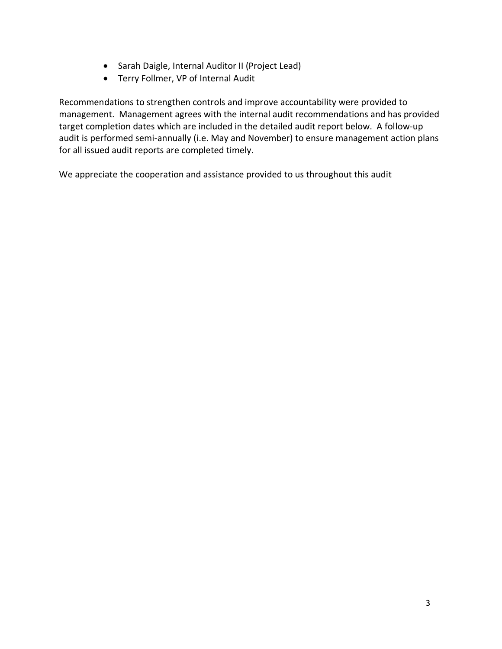- Sarah Daigle, Internal Auditor II (Project Lead)
- Terry Follmer, VP of Internal Audit

Recommendations to strengthen controls and improve accountability were provided to management. Management agrees with the internal audit recommendations and has provided target completion dates which are included in the detailed audit report below. A follow-up audit is performed semi-annually (i.e. May and November) to ensure management action plans for all issued audit reports are completed timely.

We appreciate the cooperation and assistance provided to us throughout this audit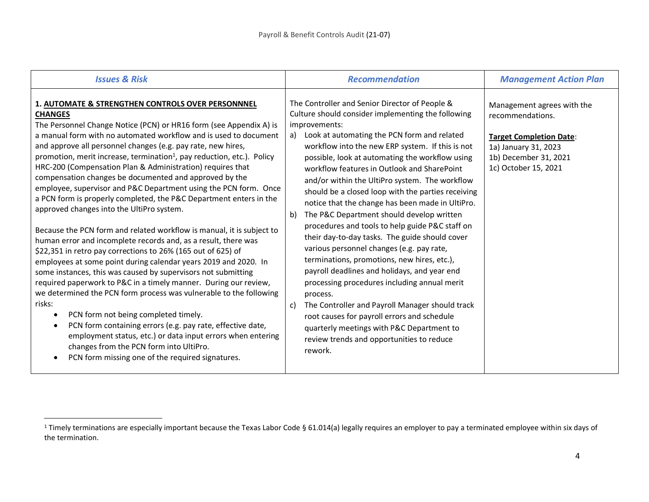| <b>Issues &amp; Risk</b>                                                                                                                                                                                                                                                                                                                                                                                                                                                                                                                                                                                                                                                                                                                                                                                                                                                                                                                                                                                                                                                                                                                                                                                                                                                                                                                                                                                                                                  | <b>Recommendation</b>                                                                                                                                                                                                                                                                                                                                                                                                                                                                                                                                                                                                                                                                                                                                                                                                                                                                                                                                                                                                                                                     | <b>Management Action Plan</b>                                                                                                                             |
|-----------------------------------------------------------------------------------------------------------------------------------------------------------------------------------------------------------------------------------------------------------------------------------------------------------------------------------------------------------------------------------------------------------------------------------------------------------------------------------------------------------------------------------------------------------------------------------------------------------------------------------------------------------------------------------------------------------------------------------------------------------------------------------------------------------------------------------------------------------------------------------------------------------------------------------------------------------------------------------------------------------------------------------------------------------------------------------------------------------------------------------------------------------------------------------------------------------------------------------------------------------------------------------------------------------------------------------------------------------------------------------------------------------------------------------------------------------|---------------------------------------------------------------------------------------------------------------------------------------------------------------------------------------------------------------------------------------------------------------------------------------------------------------------------------------------------------------------------------------------------------------------------------------------------------------------------------------------------------------------------------------------------------------------------------------------------------------------------------------------------------------------------------------------------------------------------------------------------------------------------------------------------------------------------------------------------------------------------------------------------------------------------------------------------------------------------------------------------------------------------------------------------------------------------|-----------------------------------------------------------------------------------------------------------------------------------------------------------|
| 1. AUTOMATE & STRENGTHEN CONTROLS OVER PERSONNNEL<br><b>CHANGES</b><br>The Personnel Change Notice (PCN) or HR16 form (see Appendix A) is<br>a manual form with no automated workflow and is used to document<br>and approve all personnel changes (e.g. pay rate, new hires,<br>promotion, merit increase, termination <sup>1</sup> , pay reduction, etc.). Policy<br>HRC-200 (Compensation Plan & Administration) requires that<br>compensation changes be documented and approved by the<br>employee, supervisor and P&C Department using the PCN form. Once<br>a PCN form is properly completed, the P&C Department enters in the<br>approved changes into the UltiPro system.<br>Because the PCN form and related workflow is manual, it is subject to<br>human error and incomplete records and, as a result, there was<br>\$22,351 in retro pay corrections to 26% (165 out of 625) of<br>employees at some point during calendar years 2019 and 2020. In<br>some instances, this was caused by supervisors not submitting<br>required paperwork to P&C in a timely manner. During our review,<br>we determined the PCN form process was vulnerable to the following<br>risks:<br>PCN form not being completed timely.<br>PCN form containing errors (e.g. pay rate, effective date,<br>employment status, etc.) or data input errors when entering<br>changes from the PCN form into UltiPro.<br>PCN form missing one of the required signatures. | The Controller and Senior Director of People &<br>Culture should consider implementing the following<br>improvements:<br>Look at automating the PCN form and related<br>a)<br>workflow into the new ERP system. If this is not<br>possible, look at automating the workflow using<br>workflow features in Outlook and SharePoint<br>and/or within the UltiPro system. The workflow<br>should be a closed loop with the parties receiving<br>notice that the change has been made in UltiPro.<br>The P&C Department should develop written<br>b)<br>procedures and tools to help guide P&C staff on<br>their day-to-day tasks. The guide should cover<br>various personnel changes (e.g. pay rate,<br>terminations, promotions, new hires, etc.),<br>payroll deadlines and holidays, and year end<br>processing procedures including annual merit<br>process.<br>The Controller and Payroll Manager should track<br>C)<br>root causes for payroll errors and schedule<br>quarterly meetings with P&C Department to<br>review trends and opportunities to reduce<br>rework. | Management agrees with the<br>recommendations.<br><b>Target Completion Date:</b><br>1a) January 31, 2023<br>1b) December 31, 2021<br>1c) October 15, 2021 |

<sup>&</sup>lt;sup>1</sup> Timely terminations are especially important because the Texas Labor Code § 61.014(a) legally requires an employer to pay a terminated employee within six days of the termination.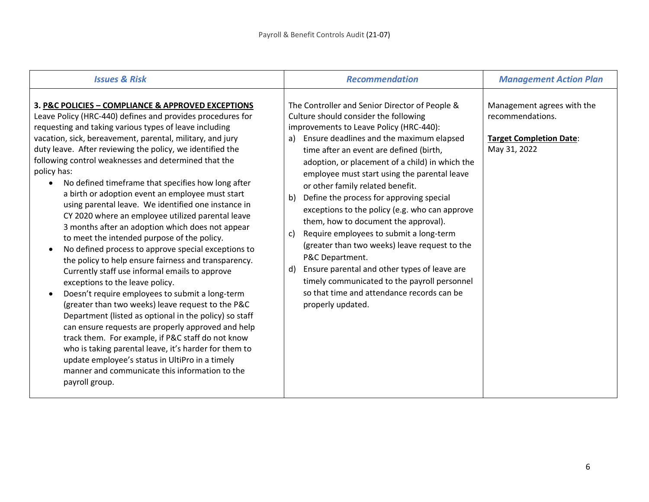| <b>Issues &amp; Risk</b>                                                                                                                                                                                                                                                                                                                                                                                                                                                                                                                                                                                                                                                                                                                                                                                                                                                                                                                                                                                                                                                                                                                                                                                                                                                                                                                                                           | <b>Recommendation</b>                                                                                                                                                                                                                                                                                                                                                                                                                                                                                                                                                                                                                                                                                                                                                                                            | <b>Management Action Plan</b>                                                                    |
|------------------------------------------------------------------------------------------------------------------------------------------------------------------------------------------------------------------------------------------------------------------------------------------------------------------------------------------------------------------------------------------------------------------------------------------------------------------------------------------------------------------------------------------------------------------------------------------------------------------------------------------------------------------------------------------------------------------------------------------------------------------------------------------------------------------------------------------------------------------------------------------------------------------------------------------------------------------------------------------------------------------------------------------------------------------------------------------------------------------------------------------------------------------------------------------------------------------------------------------------------------------------------------------------------------------------------------------------------------------------------------|------------------------------------------------------------------------------------------------------------------------------------------------------------------------------------------------------------------------------------------------------------------------------------------------------------------------------------------------------------------------------------------------------------------------------------------------------------------------------------------------------------------------------------------------------------------------------------------------------------------------------------------------------------------------------------------------------------------------------------------------------------------------------------------------------------------|--------------------------------------------------------------------------------------------------|
| 3. P&C POLICIES - COMPLIANCE & APPROVED EXCEPTIONS<br>Leave Policy (HRC-440) defines and provides procedures for<br>requesting and taking various types of leave including<br>vacation, sick, bereavement, parental, military, and jury<br>duty leave. After reviewing the policy, we identified the<br>following control weaknesses and determined that the<br>policy has:<br>No defined timeframe that specifies how long after<br>$\bullet$<br>a birth or adoption event an employee must start<br>using parental leave. We identified one instance in<br>CY 2020 where an employee utilized parental leave<br>3 months after an adoption which does not appear<br>to meet the intended purpose of the policy.<br>No defined process to approve special exceptions to<br>the policy to help ensure fairness and transparency.<br>Currently staff use informal emails to approve<br>exceptions to the leave policy.<br>Doesn't require employees to submit a long-term<br>(greater than two weeks) leave request to the P&C<br>Department (listed as optional in the policy) so staff<br>can ensure requests are properly approved and help<br>track them. For example, if P&C staff do not know<br>who is taking parental leave, it's harder for them to<br>update employee's status in UltiPro in a timely<br>manner and communicate this information to the<br>payroll group. | The Controller and Senior Director of People &<br>Culture should consider the following<br>improvements to Leave Policy (HRC-440):<br>Ensure deadlines and the maximum elapsed<br>a)<br>time after an event are defined (birth,<br>adoption, or placement of a child) in which the<br>employee must start using the parental leave<br>or other family related benefit.<br>Define the process for approving special<br>b)<br>exceptions to the policy (e.g. who can approve<br>them, how to document the approval).<br>Require employees to submit a long-term<br>C)<br>(greater than two weeks) leave request to the<br>P&C Department.<br>Ensure parental and other types of leave are<br>d)<br>timely communicated to the payroll personnel<br>so that time and attendance records can be<br>properly updated. | Management agrees with the<br>recommendations.<br><b>Target Completion Date:</b><br>May 31, 2022 |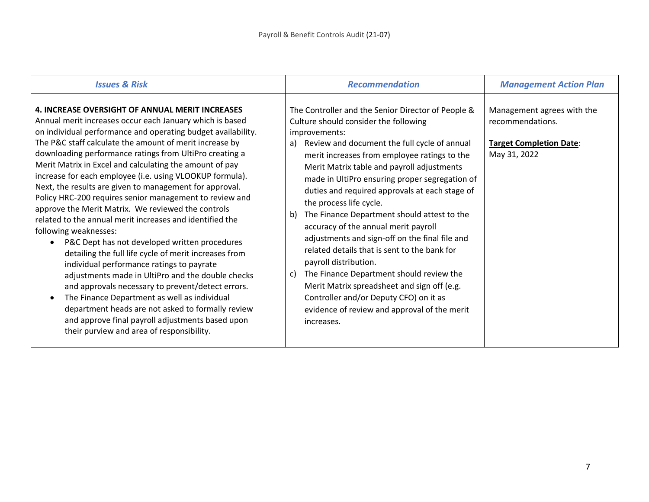| <b>Issues &amp; Risk</b>                                                                                                                                                                                                                                                                                                                                                                                                                                                                                                                                                                                                                                                                                                                                                                                                                                                                                                                                                                                                                                                                                                                                         | <b>Recommendation</b>                                                                                                                                                                                                                                                                                                                                                                                                                                                                                                                                                                                                                                                                                                                                                                                                            | <b>Management Action Plan</b>                                                                    |
|------------------------------------------------------------------------------------------------------------------------------------------------------------------------------------------------------------------------------------------------------------------------------------------------------------------------------------------------------------------------------------------------------------------------------------------------------------------------------------------------------------------------------------------------------------------------------------------------------------------------------------------------------------------------------------------------------------------------------------------------------------------------------------------------------------------------------------------------------------------------------------------------------------------------------------------------------------------------------------------------------------------------------------------------------------------------------------------------------------------------------------------------------------------|----------------------------------------------------------------------------------------------------------------------------------------------------------------------------------------------------------------------------------------------------------------------------------------------------------------------------------------------------------------------------------------------------------------------------------------------------------------------------------------------------------------------------------------------------------------------------------------------------------------------------------------------------------------------------------------------------------------------------------------------------------------------------------------------------------------------------------|--------------------------------------------------------------------------------------------------|
| 4. INCREASE OVERSIGHT OF ANNUAL MERIT INCREASES<br>Annual merit increases occur each January which is based<br>on individual performance and operating budget availability.<br>The P&C staff calculate the amount of merit increase by<br>downloading performance ratings from UltiPro creating a<br>Merit Matrix in Excel and calculating the amount of pay<br>increase for each employee (i.e. using VLOOKUP formula).<br>Next, the results are given to management for approval.<br>Policy HRC-200 requires senior management to review and<br>approve the Merit Matrix. We reviewed the controls<br>related to the annual merit increases and identified the<br>following weaknesses:<br>P&C Dept has not developed written procedures<br>detailing the full life cycle of merit increases from<br>individual performance ratings to payrate<br>adjustments made in UltiPro and the double checks<br>and approvals necessary to prevent/detect errors.<br>The Finance Department as well as individual<br>department heads are not asked to formally review<br>and approve final payroll adjustments based upon<br>their purview and area of responsibility. | The Controller and the Senior Director of People &<br>Culture should consider the following<br>improvements:<br>Review and document the full cycle of annual<br>a)<br>merit increases from employee ratings to the<br>Merit Matrix table and payroll adjustments<br>made in UltiPro ensuring proper segregation of<br>duties and required approvals at each stage of<br>the process life cycle.<br>The Finance Department should attest to the<br>b)<br>accuracy of the annual merit payroll<br>adjustments and sign-off on the final file and<br>related details that is sent to the bank for<br>payroll distribution.<br>The Finance Department should review the<br>C)<br>Merit Matrix spreadsheet and sign off (e.g.<br>Controller and/or Deputy CFO) on it as<br>evidence of review and approval of the merit<br>increases. | Management agrees with the<br>recommendations.<br><b>Target Completion Date:</b><br>May 31, 2022 |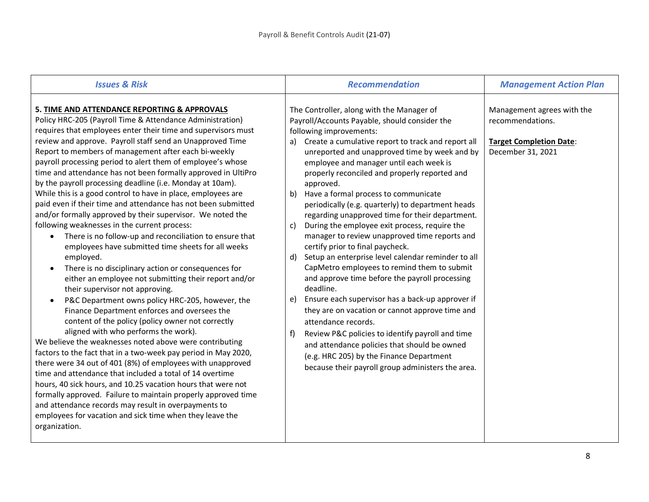| <b>Issues &amp; Risk</b>                                                                                                                                                                                                                                                                                                                                                                                                                                                                                                                                                                                                                                                                                                                                                                                                                                                                                                                                                                                                                                                                                                                                                                                                                                                                                                                                                                                                                                                                                                                                                                                                                                                                                                                                   | <b>Recommendation</b>                                                                                                                                                                                                                                                                                                                                                                                                                                                                                                                                                                                                                                                                                                                                                                                                                                                                                                                                                                                                                                                                                                                                                  | <b>Management Action Plan</b>                                                                         |
|------------------------------------------------------------------------------------------------------------------------------------------------------------------------------------------------------------------------------------------------------------------------------------------------------------------------------------------------------------------------------------------------------------------------------------------------------------------------------------------------------------------------------------------------------------------------------------------------------------------------------------------------------------------------------------------------------------------------------------------------------------------------------------------------------------------------------------------------------------------------------------------------------------------------------------------------------------------------------------------------------------------------------------------------------------------------------------------------------------------------------------------------------------------------------------------------------------------------------------------------------------------------------------------------------------------------------------------------------------------------------------------------------------------------------------------------------------------------------------------------------------------------------------------------------------------------------------------------------------------------------------------------------------------------------------------------------------------------------------------------------------|------------------------------------------------------------------------------------------------------------------------------------------------------------------------------------------------------------------------------------------------------------------------------------------------------------------------------------------------------------------------------------------------------------------------------------------------------------------------------------------------------------------------------------------------------------------------------------------------------------------------------------------------------------------------------------------------------------------------------------------------------------------------------------------------------------------------------------------------------------------------------------------------------------------------------------------------------------------------------------------------------------------------------------------------------------------------------------------------------------------------------------------------------------------------|-------------------------------------------------------------------------------------------------------|
| 5. TIME AND ATTENDANCE REPORTING & APPROVALS<br>Policy HRC-205 (Payroll Time & Attendance Administration)<br>requires that employees enter their time and supervisors must<br>review and approve. Payroll staff send an Unapproved Time<br>Report to members of management after each bi-weekly<br>payroll processing period to alert them of employee's whose<br>time and attendance has not been formally approved in UltiPro<br>by the payroll processing deadline (i.e. Monday at 10am).<br>While this is a good control to have in place, employees are<br>paid even if their time and attendance has not been submitted<br>and/or formally approved by their supervisor. We noted the<br>following weaknesses in the current process:<br>There is no follow-up and reconciliation to ensure that<br>employees have submitted time sheets for all weeks<br>employed.<br>There is no disciplinary action or consequences for<br>either an employee not submitting their report and/or<br>their supervisor not approving.<br>P&C Department owns policy HRC-205, however, the<br>Finance Department enforces and oversees the<br>content of the policy (policy owner not correctly<br>aligned with who performs the work).<br>We believe the weaknesses noted above were contributing<br>factors to the fact that in a two-week pay period in May 2020,<br>there were 34 out of 401 (8%) of employees with unapproved<br>time and attendance that included a total of 14 overtime<br>hours, 40 sick hours, and 10.25 vacation hours that were not<br>formally approved. Failure to maintain properly approved time<br>and attendance records may result in overpayments to<br>employees for vacation and sick time when they leave the<br>organization. | The Controller, along with the Manager of<br>Payroll/Accounts Payable, should consider the<br>following improvements:<br>Create a cumulative report to track and report all<br>a)<br>unreported and unapproved time by week and by<br>employee and manager until each week is<br>properly reconciled and properly reported and<br>approved.<br>Have a formal process to communicate<br>b)<br>periodically (e.g. quarterly) to department heads<br>regarding unapproved time for their department.<br>During the employee exit process, require the<br>C)<br>manager to review unapproved time reports and<br>certify prior to final paycheck.<br>Setup an enterprise level calendar reminder to all<br>d)<br>CapMetro employees to remind them to submit<br>and approve time before the payroll processing<br>deadline.<br>Ensure each supervisor has a back-up approver if<br>e)<br>they are on vacation or cannot approve time and<br>attendance records.<br>Review P&C policies to identify payroll and time<br>f)<br>and attendance policies that should be owned<br>(e.g. HRC 205) by the Finance Department<br>because their payroll group administers the area. | Management agrees with the<br>recommendations.<br><b>Target Completion Date:</b><br>December 31, 2021 |